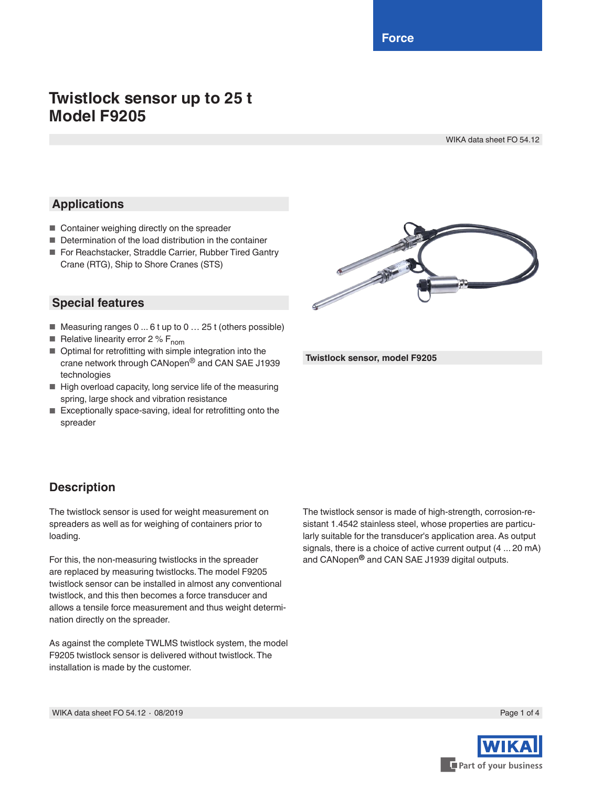**Force**

# **Twistlock sensor up to 25 t Model F9205**

WIKA data sheet FO 54.12

### **Applications**

- Container weighing directly on the spreader
- Determination of the load distribution in the container
- For Reachstacker, Straddle Carrier, Rubber Tired Gantry Crane (RTG), Ship to Shore Cranes (STS)

### **Special features**

- Measuring ranges 0 ... 6 t up to 0 ... 25 t (others possible)
- **E** Relative linearity error 2 %  $F_{nom}$
- Optimal for retrofitting with simple integration into the crane network through CANopen® and CAN SAE J1939 technologies
- High overload capacity, long service life of the measuring spring, large shock and vibration resistance
- Exceptionally space-saving, ideal for retrofitting onto the spreader



**Twistlock sensor, model F9205**

## **Description**

The twistlock sensor is used for weight measurement on spreaders as well as for weighing of containers prior to loading.

For this, the non-measuring twistlocks in the spreader are replaced by measuring twistlocks. The model F9205 twistlock sensor can be installed in almost any conventional twistlock, and this then becomes a force transducer and allows a tensile force measurement and thus weight determination directly on the spreader.

As against the complete TWLMS twistlock system, the model F9205 twistlock sensor is delivered without twistlock. The installation is made by the customer.

The twistlock sensor is made of high-strength, corrosion-resistant 1.4542 stainless steel, whose properties are particularly suitable for the transducer's application area. As output signals, there is a choice of active current output (4 ... 20 mA) and CANopen**®** and CAN SAE J1939 digital outputs.

WIKA data sheet FO 54.12 ⋅ 08/2019 Page 1 of 4

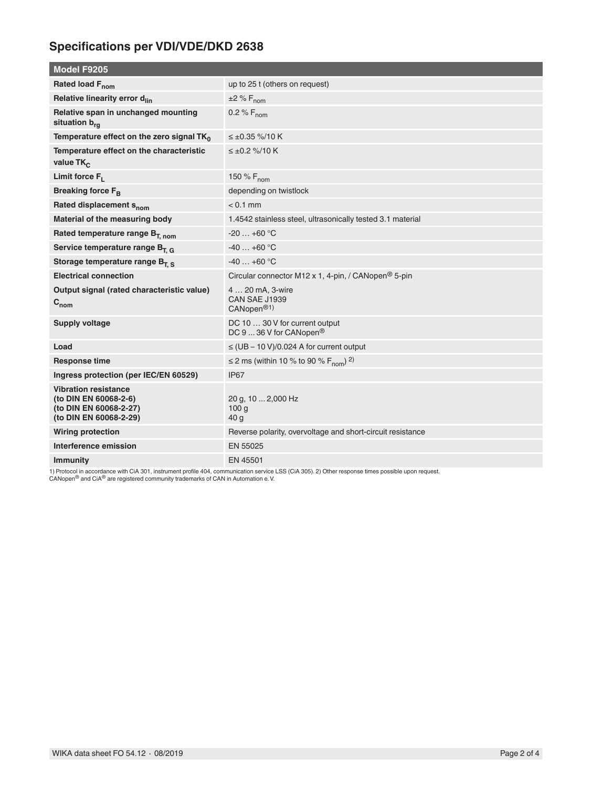## **Specifications per VDI/VDE/DKD 2638**

| <b>Model F9205</b>                                                                                       |                                                                              |  |
|----------------------------------------------------------------------------------------------------------|------------------------------------------------------------------------------|--|
| Rated load F <sub>nom</sub>                                                                              | up to 25 t (others on request)                                               |  |
| Relative linearity error d <sub>lin</sub>                                                                | $±2\%F_{nom}$                                                                |  |
| Relative span in unchanged mounting<br>situation b <sub>ra</sub>                                         | 0.2 % $F_{\text{nom}}$                                                       |  |
| Temperature effect on the zero signal $TK_0$                                                             | $\leq \pm 0.35$ %/10 K                                                       |  |
| Temperature effect on the characteristic<br>value $TK_C$                                                 | $\leq \pm 0.2$ %/10 K                                                        |  |
| Limit force $F_1$                                                                                        | 150 % $F_{\text{nom}}$                                                       |  |
| <b>Breaking force FR</b>                                                                                 | depending on twistlock                                                       |  |
| Rated displacement s <sub>nom</sub>                                                                      | $< 0.1$ mm                                                                   |  |
| Material of the measuring body                                                                           | 1.4542 stainless steel, ultrasonically tested 3.1 material                   |  |
| Rated temperature range $B_{T, nom}$                                                                     | $-20+60 °C$                                                                  |  |
| Service temperature range $B_{T, G}$                                                                     | $-40+60$ °C                                                                  |  |
| Storage temperature range $B_{T,S}$                                                                      | $-40+60$ °C                                                                  |  |
| <b>Electrical connection</b>                                                                             | Circular connector M12 x 1, 4-pin, / CANopen <sup>®</sup> 5-pin              |  |
| Output signal (rated characteristic value)<br>$C_{nom}$                                                  | 4  20 mA, 3-wire<br><b>CAN SAE J1939</b><br>CANopen <sup>®1)</sup>           |  |
| <b>Supply voltage</b>                                                                                    | DC 10  30 V for current output<br>DC 9 $\dots$ 36 V for CANopen <sup>®</sup> |  |
| Load                                                                                                     | $\leq$ (UB - 10 V)/0.024 A for current output                                |  |
| <b>Response time</b>                                                                                     | $\leq$ 2 ms (within 10 % to 90 % F <sub>nom</sub> ) <sup>2)</sup>            |  |
| Ingress protection (per IEC/EN 60529)                                                                    | IP <sub>67</sub>                                                             |  |
| <b>Vibration resistance</b><br>(to DIN EN 60068-2-6)<br>(to DIN EN 60068-2-27)<br>(to DIN EN 60068-2-29) | 20 g, 10  2,000 Hz<br>100 <sub>g</sub><br>40 <sub>g</sub>                    |  |
| <b>Wiring protection</b>                                                                                 | Reverse polarity, overvoltage and short-circuit resistance                   |  |
| Interference emission                                                                                    | EN 55025                                                                     |  |
| <b>Immunity</b>                                                                                          | EN 45501                                                                     |  |

1) Protocol in accordance with CiA 301, instrument profile 404, communication service LSS (CiA 305). 2) Other response times possible upon request.<br>CANopen® and CiA® are registered community trademarks of CAN in Automation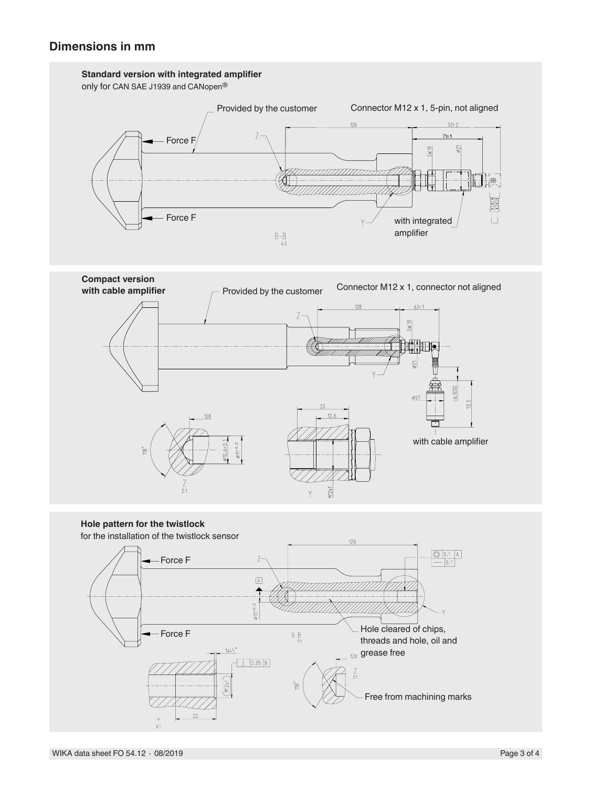



**Hole pattern for the twistlock** for the installation of the twistlock sensor